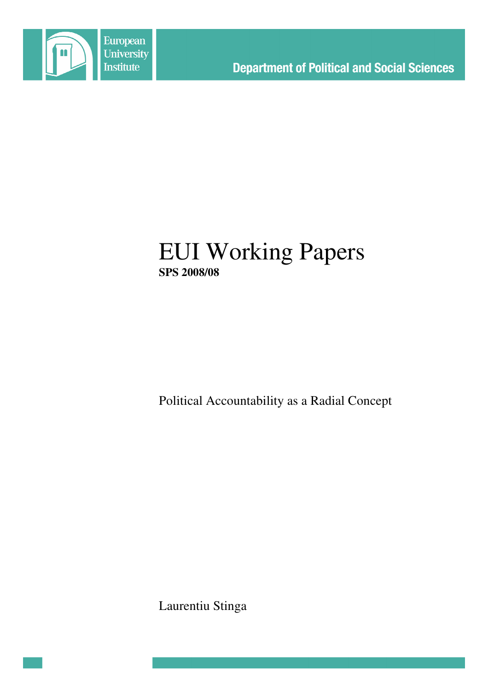

# EUI Working Papers **SPS 2008/08**

Political Accountability as a Radial Concept

Laurentiu Stinga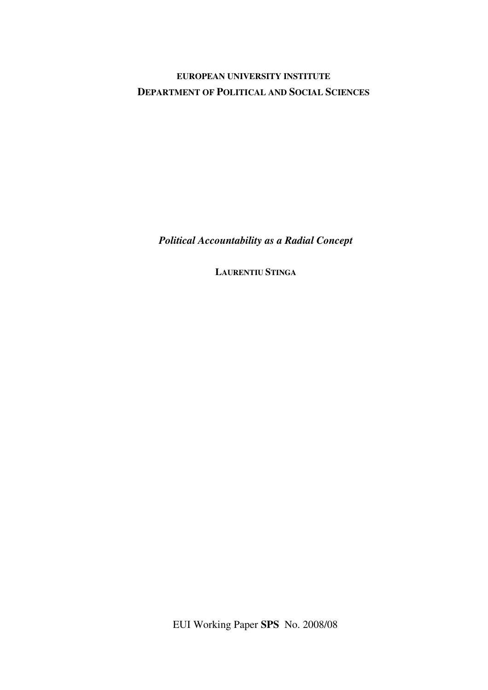## **EUROPEAN UNIVERSITY INSTITUTE DEPARTMENT OF POLITICAL AND SOCIAL SCIENCES**

*Political Accountability as a Radial Concept*

**LAURENTIU STINGA**

EUI Working Paper **SPS** No. 2008/08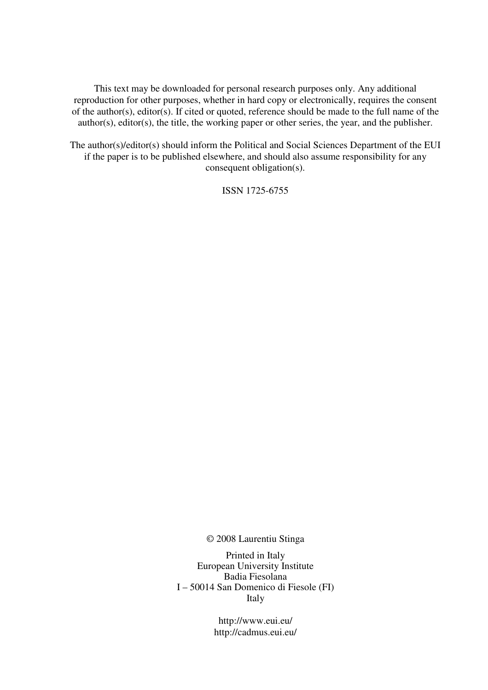This text may be downloaded for personal research purposes only. Any additional reproduction for other purposes, whether in hard copy or electronically, requires the consent of the author(s), editor(s). If cited or quoted, reference should be made to the full name of the author(s), editor(s), the title, the working paper or other series, the year, and the publisher.

The author(s)/editor(s) should inform the Political and Social Sciences Department of the EUI if the paper is to be published elsewhere, and should also assume responsibility for any consequent obligation(s).

ISSN 1725-6755

© 2008 Laurentiu Stinga

Printed in Italy European University Institute Badia Fiesolana I – 50014 San Domenico di Fiesole (FI) Italy

> http://www.eui.eu/ http://cadmus.eui.eu/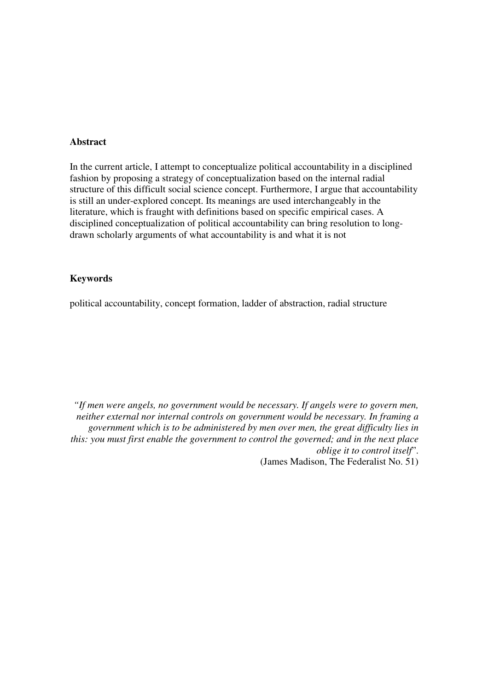#### **Abstract**

In the current article, I attempt to conceptualize political accountability in a disciplined fashion by proposing a strategy of conceptualization based on the internal radial structure of this difficult social science concept. Furthermore, I argue that accountability is still an under-explored concept. Its meanings are used interchangeably in the literature, which is fraught with definitions based on specific empirical cases. A disciplined conceptualization of political accountability can bring resolution to longdrawn scholarly arguments of what accountability is and what it is not

#### **Keywords**

political accountability, concept formation, ladder of abstraction, radial structure

*"If men were angels, no government would be necessary. If angels were to govern men, neither external nor internal controls on government would be necessary. In framing a government which is to be administered by men over men, the great difficulty lies in this: you must first enable the government to control the governed; and in the next place oblige it to control itself*". (James Madison, The Federalist No. 51)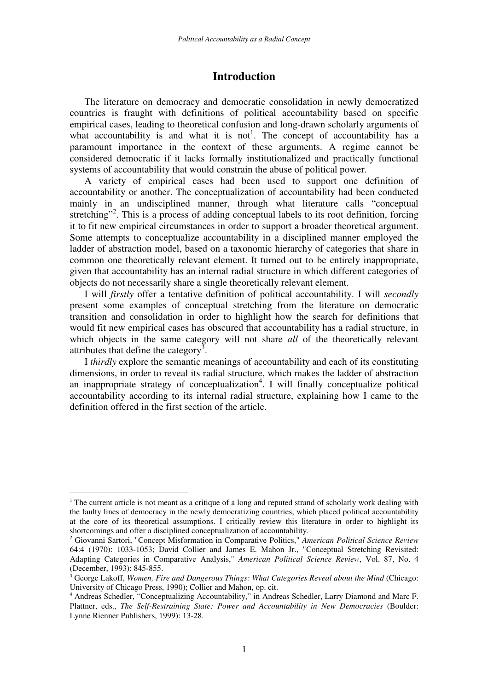## **Introduction**

The literature on democracy and democratic consolidation in newly democratized countries is fraught with definitions of political accountability based on specific empirical cases, leading to theoretical confusion and long-drawn scholarly arguments of what accountability is and what it is not<sup>1</sup>. The concept of accountability has a paramount importance in the context of these arguments. A regime cannot be considered democratic if it lacks formally institutionalized and practically functional systems of accountability that would constrain the abuse of political power.

A variety of empirical cases had been used to support one definition of accountability or another. The conceptualization of accountability had been conducted mainly in an undisciplined manner, through what literature calls "conceptual stretching"<sup>2</sup>. This is a process of adding conceptual labels to its root definition, forcing it to fit new empirical circumstances in order to support a broader theoretical argument. Some attempts to conceptualize accountability in a disciplined manner employed the ladder of abstraction model, based on a taxonomic hierarchy of categories that share in common one theoretically relevant element. It turned out to be entirely inappropriate, given that accountability has an internal radial structure in which different categories of objects do not necessarily share a single theoretically relevant element.

I will *firstly* offer a tentative definition of political accountability. I will *secondly* present some examples of conceptual stretching from the literature on democratic transition and consolidation in order to highlight how the search for definitions that would fit new empirical cases has obscured that accountability has a radial structure, in which objects in the same category will not share *all* of the theoretically relevant attributes that define the category<sup>3</sup>.

I *thirdly* explore the semantic meanings of accountability and each of its constituting dimensions, in order to reveal its radial structure, which makes the ladder of abstraction an inappropriate strategy of conceptualization<sup>4</sup>. I will finally conceptualize political accountability according to its internal radial structure, explaining how I came to the definition offered in the first section of the article.

<sup>&</sup>lt;sup>1</sup> The current article is not meant as a critique of a long and reputed strand of scholarly work dealing with the faulty lines of democracy in the newly democratizing countries, which placed political accountability at the core of its theoretical assumptions. I critically review this literature in order to highlight its shortcomings and offer a disciplined conceptualization of accountability.

<sup>2</sup> Giovanni Sartori, "Concept Misformation in Comparative Politics," *American Political Science Review* 64:4 (1970): 1033-1053; David Collier and James E. Mahon Jr., "Conceptual Stretching Revisited: Adapting Categories in Comparative Analysis," *American Political Science Review*, Vol. 87, No. 4 (December, 1993): 845-855.

<sup>3</sup> George Lakoff, *Women, Fire and Dangerous Things: What Categories Reveal about the Mind* (Chicago: University of Chicago Press, 1990); Collier and Mahon, op. cit.

<sup>4</sup> Andreas Schedler, "Conceptualizing Accountability," in Andreas Schedler, Larry Diamond and Marc F. Plattner, eds., *The Self-Restraining State: Power and Accountability in New Democracies* (Boulder: Lynne Rienner Publishers, 1999): 13-28.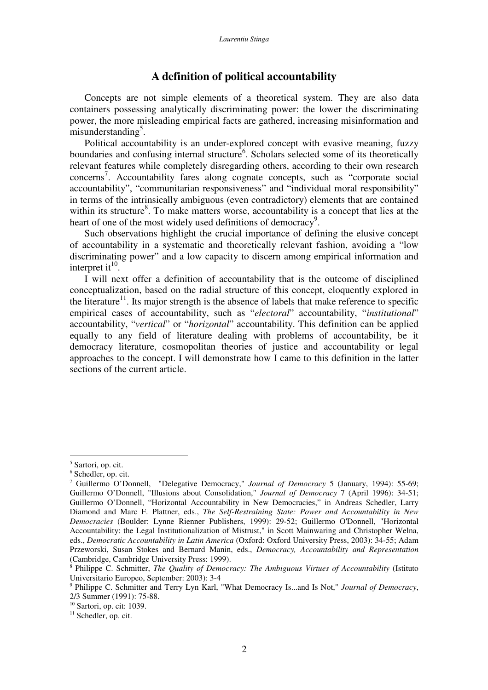## **A definition of political accountability**

Concepts are not simple elements of a theoretical system. They are also data containers possessing analytically discriminating power: the lower the discriminating power, the more misleading empirical facts are gathered, increasing misinformation and misunderstanding<sup>5</sup>.

Political accountability is an under-explored concept with evasive meaning, fuzzy boundaries and confusing internal structure<sup>6</sup>. Scholars selected some of its theoretically relevant features while completely disregarding others, according to their own research concerns 7 . Accountability fares along cognate concepts, such as "corporate social accountability", "communitarian responsiveness" and "individual moral responsibility" in terms of the intrinsically ambiguous (even contradictory) elements that are contained within its structure<sup>8</sup>. To make matters worse, accountability is a concept that lies at the heart of one of the most widely used definitions of democracy<sup>9</sup>.

Such observations highlight the crucial importance of defining the elusive concept of accountability in a systematic and theoretically relevant fashion, avoiding a "low discriminating power" and a low capacity to discern among empirical information and interpret it $^{10}$ .

I will next offer a definition of accountability that is the outcome of disciplined conceptualization, based on the radial structure of this concept, eloquently explored in the literature<sup>11</sup>. Its major strength is the absence of labels that make reference to specific empirical cases of accountability, such as "*electoral*" accountability, "*institutional*" accountability, "*vertical*" or "*horizontal*" accountability. This definition can be applied equally to any field of literature dealing with problems of accountability, be it democracy literature, cosmopolitan theories of justice and accountability or legal approaches to the concept. I will demonstrate how I came to this definition in the latter sections of the current article.

<sup>5</sup> Sartori, op. cit.

<sup>6</sup> Schedler, op. cit.

<sup>7</sup> Guillermo O'Donnell, "Delegative Democracy," *Journal of Democracy* 5 (January, 1994): 55-69; Guillermo O'Donnell, "Illusions about Consolidation," *Journal of Democracy* 7 (April 1996): 34-51; Guillermo O'Donnell, "Horizontal Accountability in New Democracies," in Andreas Schedler, Larry Diamond and Marc F. Plattner, eds., *The Self-Restraining State: Power and Accountability in New Democracies* (Boulder: Lynne Rienner Publishers, 1999): 29-52; Guillermo O'Donnell, "Horizontal Accountability: the Legal Institutionalization of Mistrust," in Scott Mainwaring and Christopher Welna, eds., *Democratic Accountability in Latin America* (Oxford: Oxford University Press, 2003): 34-55; Adam Przeworski, Susan Stokes and Bernard Manin, eds., *Democracy, Accountability and Representation* (Cambridge, Cambridge University Press: 1999).

<sup>8</sup> Philippe C. Schmitter, *The Quality of Democracy: The Ambiguous Virtues of Accountability* (Istituto Universitario Europeo, September: 2003): 3-4

<sup>9</sup> Philippe C. Schmitter and Terry Lyn Karl, "What Democracy Is...and Is Not," *Journal of Democracy*, 2/3 Summer (1991): 75-88.

 $10$  Sartori, op. cit: 1039.

 $11$  Schedler, op. cit.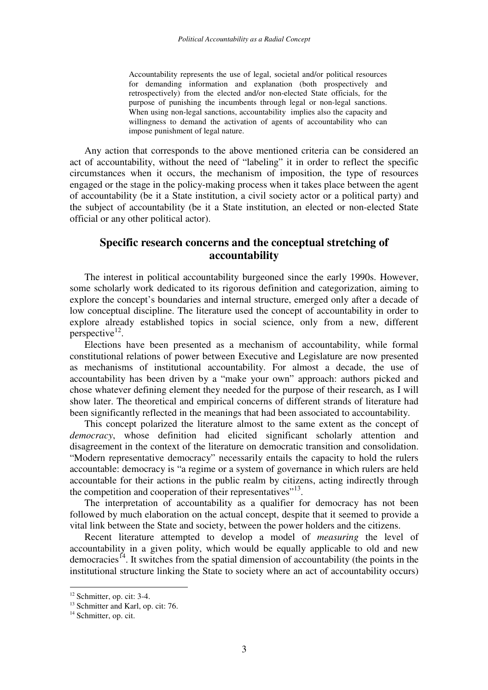Accountability represents the use of legal, societal and/or political resources for demanding information and explanation (both prospectively and retrospectively) from the elected and/or non-elected State officials, for the purpose of punishing the incumbents through legal or non-legal sanctions. When using non-legal sanctions, accountability implies also the capacity and willingness to demand the activation of agents of accountability who can impose punishment of legal nature.

Any action that corresponds to the above mentioned criteria can be considered an act of accountability, without the need of "labeling" it in order to reflect the specific circumstances when it occurs, the mechanism of imposition, the type of resources engaged or the stage in the policy-making process when it takes place between the agent of accountability (be it a State institution, a civil society actor or a political party) and the subject of accountability (be it a State institution, an elected or non-elected State official or any other political actor).

## **Specific research concerns and the conceptual stretching of accountability**

The interest in political accountability burgeoned since the early 1990s. However, some scholarly work dedicated to its rigorous definition and categorization, aiming to explore the concept's boundaries and internal structure, emerged only after a decade of low conceptual discipline. The literature used the concept of accountability in order to explore already established topics in social science, only from a new, different perspective<sup>12</sup>.

Elections have been presented as a mechanism of accountability, while formal constitutional relations of power between Executive and Legislature are now presented as mechanisms of institutional accountability. For almost a decade, the use of accountability has been driven by a "make your own" approach: authors picked and chose whatever defining element they needed for the purpose of their research, as I will show later. The theoretical and empirical concerns of different strands of literature had been significantly reflected in the meanings that had been associated to accountability.

This concept polarized the literature almost to the same extent as the concept of *democracy*, whose definition had elicited significant scholarly attention and disagreement in the context of the literature on democratic transition and consolidation. "Modern representative democracy" necessarily entails the capacity to hold the rulers accountable: democracy is "a regime or a system of governance in which rulers are held accountable for their actions in the public realm by citizens, acting indirectly through the competition and cooperation of their representatives"<sup>13</sup>.

The interpretation of accountability as a qualifier for democracy has not been followed by much elaboration on the actual concept, despite that it seemed to provide a vital link between the State and society, between the power holders and the citizens.

Recent literature attempted to develop a model of *measuring* the level of accountability in a given polity, which would be equally applicable to old and new democracies<sup>14</sup>. It switches from the spatial dimension of accountability (the points in the institutional structure linking the State to society where an act of accountability occurs)

 $12$  Schmitter, op. cit: 3-4.

<sup>&</sup>lt;sup>13</sup> Schmitter and Karl, op. cit: 76.

<sup>&</sup>lt;sup>14</sup> Schmitter, op. cit.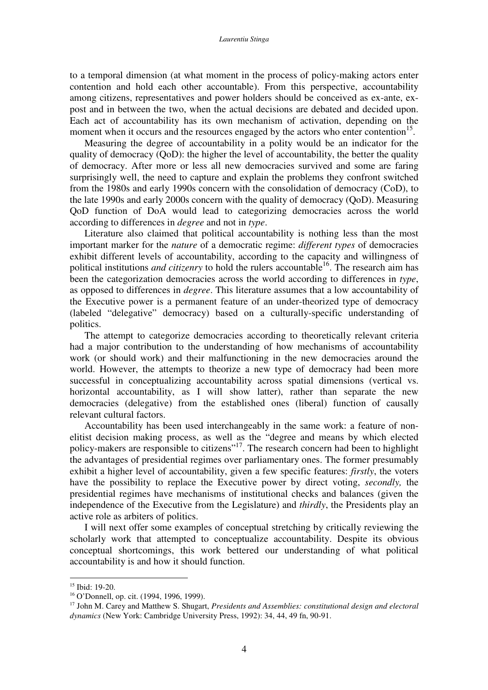to a temporal dimension (at what moment in the process of policy-making actors enter contention and hold each other accountable). From this perspective, accountability among citizens, representatives and power holders should be conceived as ex-ante, expost and in between the two, when the actual decisions are debated and decided upon. Each act of accountability has its own mechanism of activation, depending on the moment when it occurs and the resources engaged by the actors who enter contention<sup>15</sup>.

Measuring the degree of accountability in a polity would be an indicator for the quality of democracy (QoD): the higher the level of accountability, the better the quality of democracy. After more or less all new democracies survived and some are faring surprisingly well, the need to capture and explain the problems they confront switched from the 1980s and early 1990s concern with the consolidation of democracy (CoD), to the late 1990s and early 2000s concern with the quality of democracy (QoD). Measuring QoD function of DoA would lead to categorizing democracies across the world according to differences in *degree* and not in *type*.

Literature also claimed that political accountability is nothing less than the most important marker for the *nature* of a democratic regime: *different types* of democracies exhibit different levels of accountability, according to the capacity and willingness of political institutions *and citizenry* to hold the rulers accountable 16 . The research aim has been the categorization democracies across the world according to differences in *type*, as opposed to differences in *degree*. This literature assumes that a low accountability of the Executive power is a permanent feature of an under-theorized type of democracy (labeled "delegative" democracy) based on a culturally-specific understanding of politics.

The attempt to categorize democracies according to theoretically relevant criteria had a major contribution to the understanding of how mechanisms of accountability work (or should work) and their malfunctioning in the new democracies around the world. However, the attempts to theorize a new type of democracy had been more successful in conceptualizing accountability across spatial dimensions (vertical vs. horizontal accountability, as I will show latter), rather than separate the new democracies (delegative) from the established ones (liberal) function of causally relevant cultural factors.

Accountability has been used interchangeably in the same work: a feature of nonelitist decision making process, as well as the "degree and means by which elected policy-makers are responsible to citizens"<sup>17</sup>. The research concern had been to highlight the advantages of presidential regimes over parliamentary ones. The former presumably exhibit a higher level of accountability, given a few specific features: *firstly*, the voters have the possibility to replace the Executive power by direct voting, *secondly,* the presidential regimes have mechanisms of institutional checks and balances (given the independence of the Executive from the Legislature) and *thirdly*, the Presidents play an active role as arbiters of politics.

I will next offer some examples of conceptual stretching by critically reviewing the scholarly work that attempted to conceptualize accountability. Despite its obvious conceptual shortcomings, this work bettered our understanding of what political accountability is and how it should function.

<sup>&</sup>lt;sup>15</sup> Ibid: 19-20.

<sup>16</sup> O'Donnell, op. cit. (1994, 1996, 1999).

<sup>17</sup> John M. Carey and Matthew S. Shugart, *Presidents and Assemblies: constitutional design and electoral dynamics* (New York: Cambridge University Press, 1992): 34, 44, 49 fn, 90-91.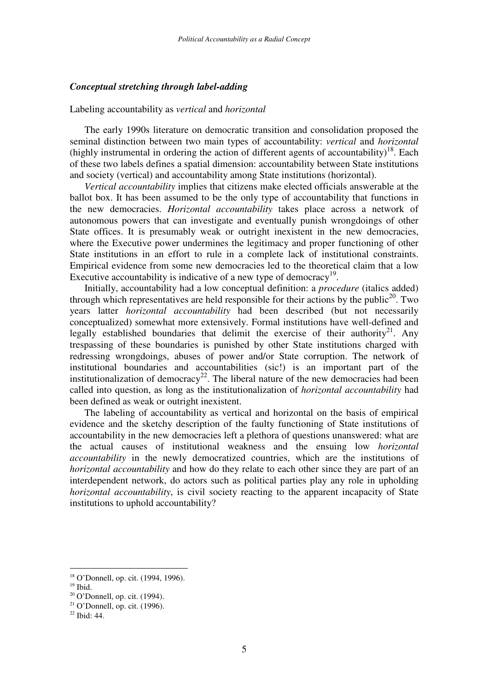#### *Conceptual stretching through label-adding*

#### Labeling accountability as *vertical* and *horizontal*

The early 1990s literature on democratic transition and consolidation proposed the seminal distinction between two main types of accountability: *vertical* and *horizontal* (highly instrumental in ordering the action of different agents of accountability)<sup>18</sup>. Each of these two labels defines a spatial dimension: accountability between State institutions and society (vertical) and accountability among State institutions (horizontal).

*Vertical accountability* implies that citizens make elected officials answerable at the ballot box. It has been assumed to be the only type of accountability that functions in the new democracies. *Horizontal accountability* takes place across a network of autonomous powers that can investigate and eventually punish wrongdoings of other State offices. It is presumably weak or outright inexistent in the new democracies, where the Executive power undermines the legitimacy and proper functioning of other State institutions in an effort to rule in a complete lack of institutional constraints. Empirical evidence from some new democracies led to the theoretical claim that a low Executive accountability is indicative of a new type of democracy<sup>19</sup>.

Initially, accountability had a low conceptual definition: a *procedure* (italics added) through which representatives are held responsible for their actions by the public<sup>20</sup>. Two years latter *horizontal accountability* had been described (but not necessarily conceptualized) somewhat more extensively. Formal institutions have well-defined and legally established boundaries that delimit the exercise of their authority<sup>21</sup>. Any trespassing of these boundaries is punished by other State institutions charged with redressing wrongdoings, abuses of power and/or State corruption. The network of institutional boundaries and accountabilities (sic!) is an important part of the institutionalization of democracy<sup>22</sup>. The liberal nature of the new democracies had been called into question, as long as the institutionalization of *horizontal accountability* had been defined as weak or outright inexistent.

The labeling of accountability as vertical and horizontal on the basis of empirical evidence and the sketchy description of the faulty functioning of State institutions of accountability in the new democracies left a plethora of questions unanswered: what are the actual causes of institutional weakness and the ensuing low *horizontal accountability* in the newly democratized countries, which are the institutions of *horizontal accountability* and how do they relate to each other since they are part of an interdependent network, do actors such as political parties play any role in upholding *horizontal accountability*, is civil society reacting to the apparent incapacity of State institutions to uphold accountability?

<sup>18</sup> O'Donnell, op. cit. (1994, 1996).

<sup>19</sup> Ibid.

 $20$  O'Donnell, op. cit. (1994).

 $21$  O'Donnell, op. cit. (1996).

<sup>22</sup> Ibid: 44.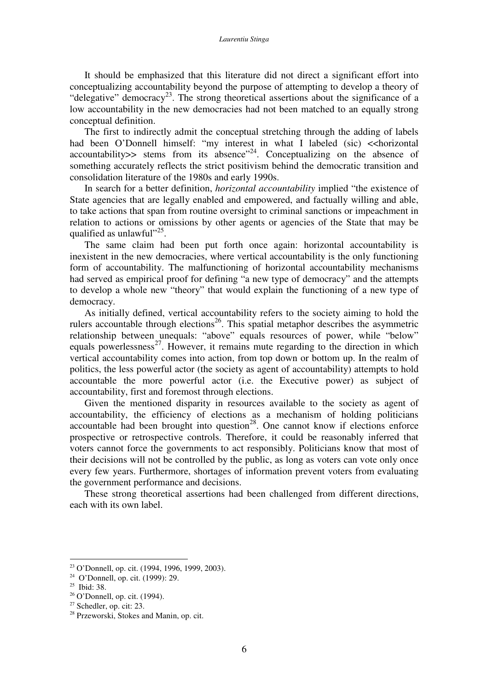It should be emphasized that this literature did not direct a significant effort into conceptualizing accountability beyond the purpose of attempting to develop a theory of "delegative" democracy<sup>23</sup>. The strong theoretical assertions about the significance of a low accountability in the new democracies had not been matched to an equally strong conceptual definition.

The first to indirectly admit the conceptual stretching through the adding of labels had been O'Donnell himself: "my interest in what I labeled (sic) << horizontal  $accountability$  stems from its absence"<sup>24</sup>. Conceptualizing on the absence of something accurately reflects the strict positivism behind the democratic transition and consolidation literature of the 1980s and early 1990s.

In search for a better definition, *horizontal accountability* implied "the existence of State agencies that are legally enabled and empowered, and factually willing and able, to take actions that span from routine oversight to criminal sanctions or impeachment in relation to actions or omissions by other agents or agencies of the State that may be qualified as unlawful"<sup>25</sup>.

The same claim had been put forth once again: horizontal accountability is inexistent in the new democracies, where vertical accountability is the only functioning form of accountability. The malfunctioning of horizontal accountability mechanisms had served as empirical proof for defining "a new type of democracy" and the attempts to develop a whole new "theory" that would explain the functioning of a new type of democracy.

As initially defined, vertical accountability refers to the society aiming to hold the rulers accountable through elections<sup>26</sup>. This spatial metaphor describes the asymmetric relationship between unequals: "above" equals resources of power, while "below" equals powerlessness<sup>27</sup>. However, it remains mute regarding to the direction in which vertical accountability comes into action, from top down or bottom up. In the realm of politics, the less powerful actor (the society as agent of accountability) attempts to hold accountable the more powerful actor (i.e. the Executive power) as subject of accountability, first and foremost through elections.

Given the mentioned disparity in resources available to the society as agent of accountability, the efficiency of elections as a mechanism of holding politicians accountable had been brought into question<sup>28</sup>. One cannot know if elections enforce prospective or retrospective controls. Therefore, it could be reasonably inferred that voters cannot force the governments to act responsibly. Politicians know that most of their decisions will not be controlled by the public, as long as voters can vote only once every few years. Furthermore, shortages of information prevent voters from evaluating the government performance and decisions.

These strong theoretical assertions had been challenged from different directions, each with its own label.

<sup>23</sup> O'Donnell, op. cit. (1994, 1996, 1999, 2003).

<sup>24</sup> O'Donnell, op. cit. (1999): 29.

<sup>25</sup> Ibid: 38.

 $26$  O'Donnell, op. cit. (1994).

 $27$  Schedler, op. cit: 23.

<sup>&</sup>lt;sup>28</sup> Przeworski, Stokes and Manin, op. cit.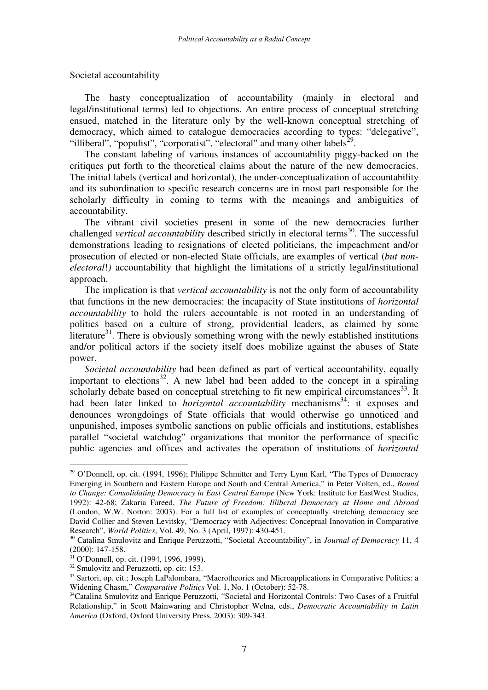Societal accountability

The hasty conceptualization of accountability (mainly in electoral and legal/institutional terms) led to objections. An entire process of conceptual stretching ensued, matched in the literature only by the well-known conceptual stretching of democracy, which aimed to catalogue democracies according to types: "delegative", "illiberal", "populist", "corporatist", "electoral" and many other labels<sup>29</sup>.

The constant labeling of various instances of accountability piggy-backed on the critiques put forth to the theoretical claims about the nature of the new democracies. The initial labels (vertical and horizontal), the under-conceptualization of accountability and its subordination to specific research concerns are in most part responsible for the scholarly difficulty in coming to terms with the meanings and ambiguities of accountability.

The vibrant civil societies present in some of the new democracies further challenged *vertical accountability* described strictly in electoral terms 30 . The successful demonstrations leading to resignations of elected politicians, the impeachment and/or prosecution of elected or non-elected State officials, are examples of vertical (*but nonelectoral*!*)* accountability that highlight the limitations of a strictly legal/institutional approach.

The implication is that *vertical accountability* is not the only form of accountability that functions in the new democracies: the incapacity of State institutions of *horizontal accountability* to hold the rulers accountable is not rooted in an understanding of politics based on a culture of strong, providential leaders, as claimed by some literature<sup>31</sup>. There is obviously something wrong with the newly established institutions and/or political actors if the society itself does mobilize against the abuses of State power.

*Societal accountability* had been defined as part of vertical accountability, equally important to elections<sup>32</sup>. A new label had been added to the concept in a spiraling scholarly debate based on conceptual stretching to fit new empirical circumstances<sup>33</sup>. It had been later linked to *horizontal accountability* mechanisms<sup>34</sup>: it exposes and denounces wrongdoings of State officials that would otherwise go unnoticed and unpunished, imposes symbolic sanctions on public officials and institutions, establishes parallel "societal watchdog" organizations that monitor the performance of specific public agencies and offices and activates the operation of institutions of *horizontal*

<sup>&</sup>lt;sup>29</sup> O'Donnell, op. cit. (1994, 1996); Philippe Schmitter and Terry Lynn Karl, "The Types of Democracy Emerging in Southern and Eastern Europe and South and Central America," in Peter Volten, ed., *Bound to Change: Consolidating Democracy in East Central Europe* (New York: Institute for EastWest Studies, 1992): 42-68; Zakaria Fareed, *The Future of Freedom: Illiberal Democracy at Home and Abroad* (London, W.W. Norton: 2003). For a full list of examples of conceptually stretching democracy see David Collier and Steven Levitsky, "Democracy with Adjectives: Conceptual Innovation in Comparative Research", *World Politics*, Vol. 49, No. 3 (April, 1997): 430-451.

<sup>30</sup> Catalina Smulovitz and Enrique Peruzzotti, "Societal Accountability", in *Journal of Democracy* 11, 4 (2000): 147-158.

<sup>31</sup> O'Donnell, op. cit. (1994, 1996, 1999).

<sup>&</sup>lt;sup>32</sup> Smulovitz and Peruzzotti, op. cit: 153.

<sup>&</sup>lt;sup>33</sup> Sartori, op. cit.; Joseph LaPalombara, "Macrotheories and Microapplications in Comparative Politics: a Widening Chasm," *Comparative Politics* Vol. 1, No. 1 (October): 52-78.

<sup>&</sup>lt;sup>34</sup>Catalina Smulovitz and Enrique Peruzzotti, "Societal and Horizontal Controls: Two Cases of a Fruitful Relationship," in Scott Mainwaring and Christopher Welna, eds., *Democratic Accountability in Latin America* (Oxford, Oxford University Press, 2003): 309-343.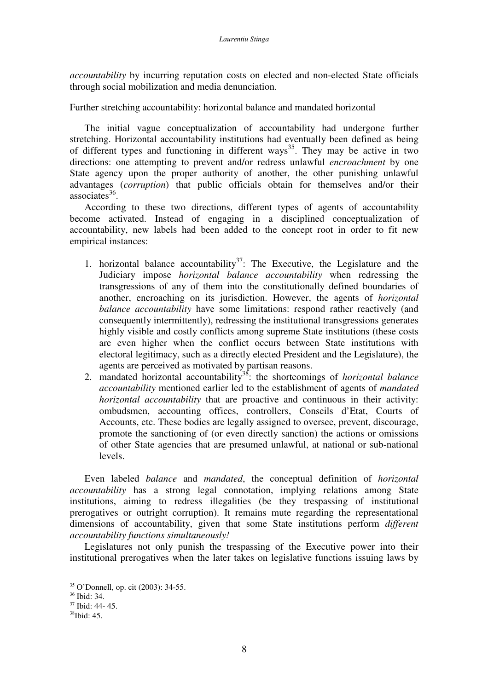*accountability* by incurring reputation costs on elected and non-elected State officials through social mobilization and media denunciation.

Further stretching accountability: horizontal balance and mandated horizontal

The initial vague conceptualization of accountability had undergone further stretching. Horizontal accountability institutions had eventually been defined as being of different types and functioning in different ways<sup>35</sup>. They may be active in two directions: one attempting to prevent and/or redress unlawful *encroachment* by one State agency upon the proper authority of another, the other punishing unlawful advantages (*corruption*) that public officials obtain for themselves and/or their associates 36 .

According to these two directions, different types of agents of accountability become activated. Instead of engaging in a disciplined conceptualization of accountability, new labels had been added to the concept root in order to fit new empirical instances:

- 1. horizontal balance accountability<sup>37</sup>: The Executive, the Legislature and the Judiciary impose *horizontal balance accountability* when redressing the transgressions of any of them into the constitutionally defined boundaries of another, encroaching on its jurisdiction. However, the agents of *horizontal balance accountability* have some limitations: respond rather reactively (and consequently intermittently), redressing the institutional transgressions generates highly visible and costly conflicts among supreme State institutions (these costs are even higher when the conflict occurs between State institutions with electoral legitimacy, such as a directly elected President and the Legislature), the agents are perceived as motivated by partisan reasons.
- 2. mandated horizontal accountability 38 : the shortcomings of *horizontal balance accountability* mentioned earlier led to the establishment of agents of *mandated horizontal accountability* that are proactive and continuous in their activity: ombudsmen, accounting offices, controllers, Conseils d'Etat, Courts of Accounts, etc. These bodies are legally assigned to oversee, prevent, discourage, promote the sanctioning of (or even directly sanction) the actions or omissions of other State agencies that are presumed unlawful, at national or sub-national levels.

Even labeled *balance* and *mandated*, the conceptual definition of *horizontal accountability* has a strong legal connotation, implying relations among State institutions, aiming to redress illegalities (be they trespassing of institutional prerogatives or outright corruption). It remains mute regarding the representational dimensions of accountability, given that some State institutions perform *different accountability functions simultaneously!*

Legislatures not only punish the trespassing of the Executive power into their institutional prerogatives when the later takes on legislative functions issuing laws by

<sup>35</sup> O'Donnell, op. cit (2003): 34-55.

<sup>36</sup> Ibid: 34.

<sup>37</sup> Ibid: 44- 45.

<sup>38</sup> Ibid: 45.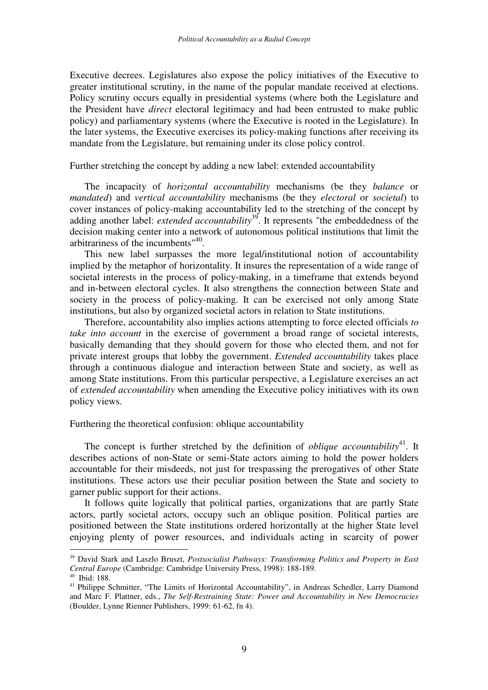Executive decrees. Legislatures also expose the policy initiatives of the Executive to greater institutional scrutiny, in the name of the popular mandate received at elections. Policy scrutiny occurs equally in presidential systems (where both the Legislature and the President have *direct* electoral legitimacy and had been entrusted to make public policy) and parliamentary systems (where the Executive is rooted in the Legislature). In the later systems, the Executive exercises its policy-making functions after receiving its mandate from the Legislature, but remaining under its close policy control.

Further stretching the concept by adding a new label: extended accountability

The incapacity of *horizontal accountability* mechanisms (be they *balance* or *mandated*) and *vertical accountability* mechanisms (be they *electoral* or *societal*) to cover instances of policy-making accountability led to the stretching of the concept by adding another label: *extended accountability* 39 . It represents "the embeddedness of the decision making center into a network of autonomous political institutions that limit the arbitrariness of the incumbents<sup>"40</sup>.

This new label surpasses the more legal/institutional notion of accountability implied by the metaphor of horizontality. It insures the representation of a wide range of societal interests in the process of policy-making, in a timeframe that extends beyond and in-between electoral cycles. It also strengthens the connection between State and society in the process of policy-making. It can be exercised not only among State institutions, but also by organized societal actors in relation to State institutions.

Therefore, accountability also implies actions attempting to force elected officials *to take into account* in the exercise of government a broad range of societal interests, basically demanding that they should govern for those who elected them, and not for private interest groups that lobby the government. *Extended accountability* takes place through a continuous dialogue and interaction between State and society, as well as among State institutions. From this particular perspective, a Legislature exercises an act of *extended accountability* when amending the Executive policy initiatives with its own policy views.

Furthering the theoretical confusion: oblique accountability

The concept is further stretched by the definition of *oblique accountability*<sup>41</sup>. It describes actions of non-State or semi-State actors aiming to hold the power holders accountable for their misdeeds, not just for trespassing the prerogatives of other State institutions. These actors use their peculiar position between the State and society to garner public support for their actions.

It follows quite logically that political parties, organizations that are partly State actors, partly societal actors, occupy such an oblique position. Political parties are positioned between the State institutions ordered horizontally at the higher State level enjoying plenty of power resources, and individuals acting in scarcity of power

<sup>39</sup> David Stark and Laszlo Bruszt, *Postsocialist Pathways: Transforming Politics and Property in East Central Europe* (Cambridge: Cambridge University Press, 1998): 188-189.

<sup>40</sup> Ibid: 188.

<sup>&</sup>lt;sup>41</sup> Philippe Schmitter, "The Limits of Horizontal Accountability", in Andreas Schedler, Larry Diamond and Marc F. Plattner, eds., *The Self-Restraining State: Power and Accountability in New Democracies* (Boulder, Lynne Rienner Publishers, 1999: 61-62, fn 4).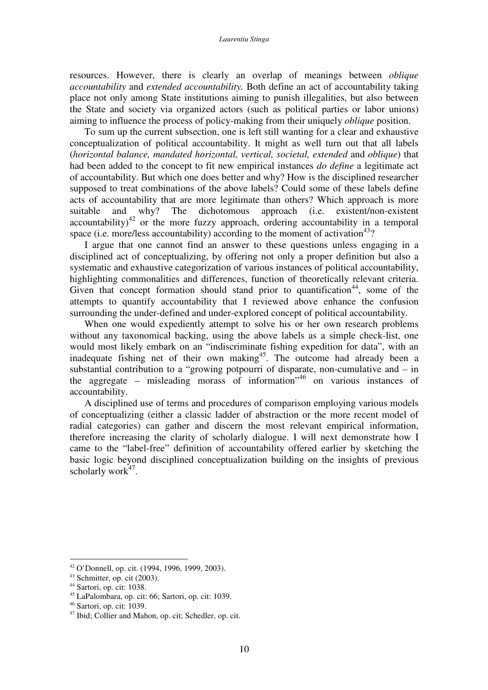resources. However, there is clearly an overlap of meanings between *oblique accountability* and *extended accountability.* Both define an act of accountability taking place not only among State institutions aiming to punish illegalities, but also between the State and society via organized actors (such as political parties or labor unions) aiming to influence the process of policy-making from their uniquely *oblique* position.

To sum up the current subsection, one is left still wanting for a clear and exhaustive conceptualization of political accountability. It might as well turn out that all labels (*horizontal balance, mandated horizontal, vertical, societal, extended* and *oblique*) that had been added to the concept to fit new empirical instances *do define* a legitimate act of accountability. But which one does better and why? How is the disciplined researcher supposed to treat combinations of the above labels? Could some of these labels define acts of accountability that are more legitimate than others? Which approach is more suitable and why? The dichotomous approach (i.e. existent/non-existent accountability) $42$  or the more fuzzy approach, ordering accountability in a temporal space (i.e. more/less accountability) according to the moment of activation<sup>43</sup>?

I argue that one cannot find an answer to these questions unless engaging in a disciplined act of conceptualizing, by offering not only a proper definition but also a systematic and exhaustive categorization of various instances of political accountability, highlighting commonalities and differences, function of theoretically relevant criteria. Given that concept formation should stand prior to quantification<sup>44</sup>, some of the attempts to quantify accountability that I reviewed above enhance the confusion surrounding the under-defined and under-explored concept of political accountability.

When one would expediently attempt to solve his or her own research problems without any taxonomical backing, using the above labels as a simple check-list, one would most likely embark on an "indiscriminate fishing expedition for data", with an inadequate fishing net of their own making<sup>45</sup>. The outcome had already been a substantial contribution to a "growing potpourri of disparate, non-cumulative and  $-$  in the aggregate – misleading morass of information" 46 on various instances of accountability.

A disciplined use of terms and procedures of comparison employing various models of conceptualizing (either a classic ladder of abstraction or the more recent model of radial categories) can gather and discern the most relevant empirical information, therefore increasing the clarity of scholarly dialogue. I will next demonstrate how I came to the "label-free" definition of accountability offered earlier by sketching the basic logic beyond disciplined conceptualization building on the insights of previous scholarly work<sup>47</sup>.

<sup>42</sup> O'Donnell, op. cit. (1994, 1996, 1999, 2003).

<sup>43</sup> Schmitter, op. cit (2003).

 $44$  Sartori, op. cit: 1038.

<sup>45</sup> LaPalombara, op. cit: 66; Sartori, op. cit: 1039.

<sup>46</sup> Sartori, op. cit: 1039.

<sup>47</sup> Ibid; Collier and Mahon, op. cit; Schedler, op. cit.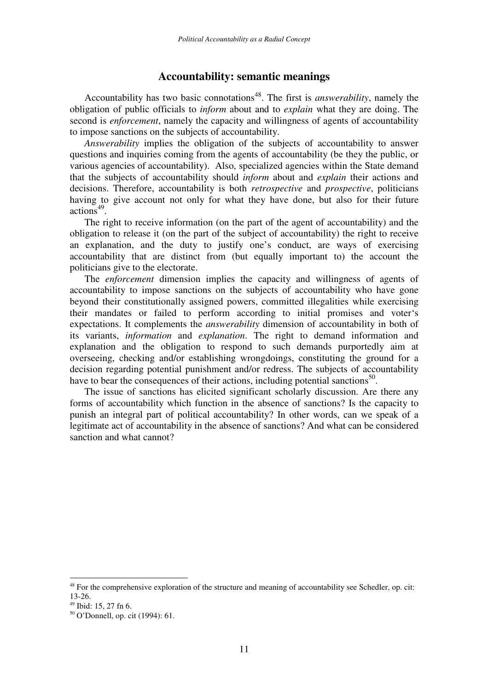## **Accountability: semantic meanings**

Accountability has two basic connotations 48 . The first is *answerability*, namely the obligation of public officials to *inform* about and to *explain* what they are doing. The second is *enforcement*, namely the capacity and willingness of agents of accountability to impose sanctions on the subjects of accountability.

*Answerability* implies the obligation of the subjects of accountability to answer questions and inquiries coming from the agents of accountability (be they the public, or various agencies of accountability). Also, specialized agencies within the State demand that the subjects of accountability should *inform* about and *explain* their actions and decisions. Therefore, accountability is both *retrospective* and *prospective*, politicians having to give account not only for what they have done, but also for their future actions 49 .

The right to receive information (on the part of the agent of accountability) and the obligation to release it (on the part of the subject of accountability) the right to receive an explanation, and the duty to justify one's conduct, are ways of exercising accountability that are distinct from (but equally important to) the account the politicians give to the electorate.

The *enforcement* dimension implies the capacity and willingness of agents of accountability to impose sanctions on the subjects of accountability who have gone beyond their constitutionally assigned powers, committed illegalities while exercising their mandates or failed to perform according to initial promises and voter's expectations. It complements the *answerability* dimension of accountability in both of its variants, *information* and *explanation*. The right to demand information and explanation and the obligation to respond to such demands purportedly aim at overseeing, checking and/or establishing wrongdoings, constituting the ground for a decision regarding potential punishment and/or redress. The subjects of accountability have to bear the consequences of their actions, including potential sanctions<sup>50</sup>.

The issue of sanctions has elicited significant scholarly discussion. Are there any forms of accountability which function in the absence of sanctions? Is the capacity to punish an integral part of political accountability? In other words, can we speak of a legitimate act of accountability in the absence of sanctions? And what can be considered sanction and what cannot?

<sup>&</sup>lt;sup>48</sup> For the comprehensive exploration of the structure and meaning of accountability see Schedler, op. cit: 13-26.

<sup>49</sup> Ibid: 15, 27 fn 6.

<sup>50</sup> O'Donnell, op. cit (1994): 61.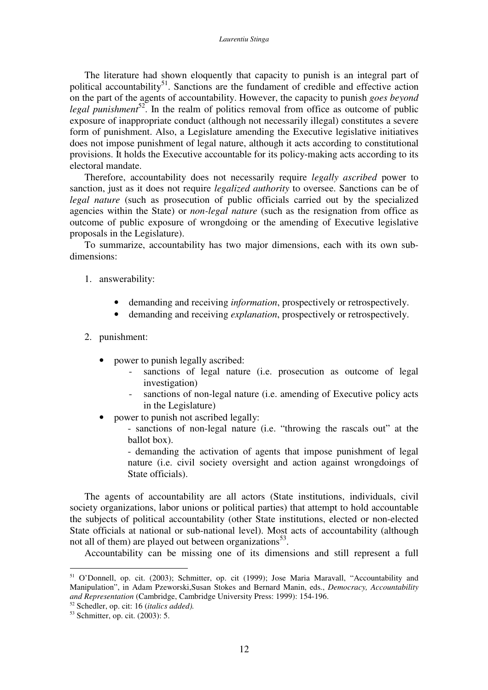The literature had shown eloquently that capacity to punish is an integral part of political accountability<sup>51</sup>. Sanctions are the fundament of credible and effective action on the part of the agents of accountability. However, the capacity to punish *goes beyond* legal *punishment*<sup>52</sup>. In the realm of politics removal from office as outcome of public exposure of inappropriate conduct (although not necessarily illegal) constitutes a severe form of punishment. Also, a Legislature amending the Executive legislative initiatives does not impose punishment of legal nature, although it acts according to constitutional provisions. It holds the Executive accountable for its policy-making acts according to its electoral mandate.

Therefore, accountability does not necessarily require *legally ascribed* power to sanction, just as it does not require *legalized authority* to oversee. Sanctions can be of *legal nature* (such as prosecution of public officials carried out by the specialized agencies within the State) or *non-legal nature* (such as the resignation from office as outcome of public exposure of wrongdoing or the amending of Executive legislative proposals in the Legislature).

To summarize, accountability has two major dimensions, each with its own subdimensions:

- 1. answerability:
	- demanding and receiving *information*, prospectively or retrospectively.
	- demanding and receiving *explanation*, prospectively or retrospectively.

### 2. punishment:

- power to punish legally ascribed:
	- sanctions of legal nature (i.e. prosecution as outcome of legal investigation)
	- sanctions of non-legal nature (i.e. amending of Executive policy acts in the Legislature)
- power to punish not ascribed legally:

- sanctions of non-legal nature (i.e. "throwing the rascals out" at the ballot box).

- demanding the activation of agents that impose punishment of legal nature (i.e. civil society oversight and action against wrongdoings of State officials).

The agents of accountability are all actors (State institutions, individuals, civil society organizations, labor unions or political parties) that attempt to hold accountable the subjects of political accountability (other State institutions, elected or non-elected State officials at national or sub-national level). Most acts of accountability (although not all of them) are played out between organizations<sup>53</sup>.

Accountability can be missing one of its dimensions and still represent a full

<sup>51</sup> O'Donnell, op. cit. (2003); Schmitter, op. cit (1999); Jose Maria Maravall, "Accountability and Manipulation", in Adam Pzeworski,Susan Stokes and Bernard Manin, eds., *Democracy, Accountability and Representation* (Cambridge, Cambridge University Press: 1999): 154-196.

<sup>52</sup> Schedler, op. cit: 16 (*italics added).*

<sup>53</sup> Schmitter, op. cit. (2003): 5.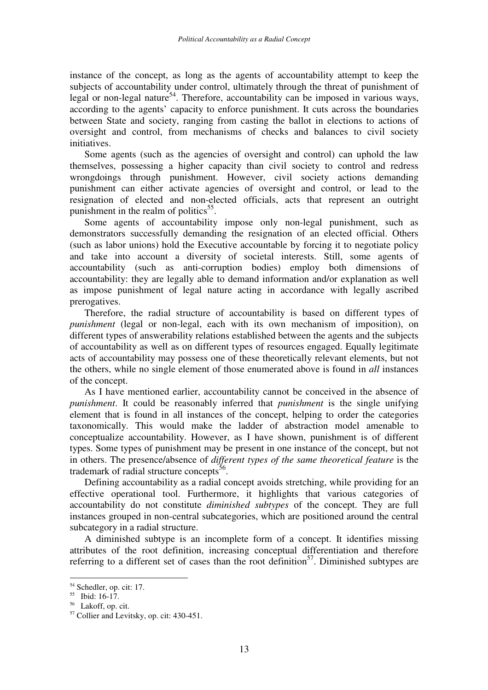instance of the concept, as long as the agents of accountability attempt to keep the subjects of accountability under control, ultimately through the threat of punishment of legal or non-legal nature<sup>54</sup>. Therefore, accountability can be imposed in various ways, according to the agents' capacity to enforce punishment. It cuts across the boundaries between State and society, ranging from casting the ballot in elections to actions of oversight and control, from mechanisms of checks and balances to civil society initiatives.

Some agents (such as the agencies of oversight and control) can uphold the law themselves, possessing a higher capacity than civil society to control and redress wrongdoings through punishment. However, civil society actions demanding punishment can either activate agencies of oversight and control, or lead to the resignation of elected and non-elected officials, acts that represent an outright punishment in the realm of politics<sup>55</sup>.

Some agents of accountability impose only non-legal punishment, such as demonstrators successfully demanding the resignation of an elected official. Others (such as labor unions) hold the Executive accountable by forcing it to negotiate policy and take into account a diversity of societal interests. Still, some agents of accountability (such as anti-corruption bodies) employ both dimensions of accountability: they are legally able to demand information and/or explanation as well as impose punishment of legal nature acting in accordance with legally ascribed prerogatives.

Therefore, the radial structure of accountability is based on different types of *punishment* (legal or non-legal, each with its own mechanism of imposition), on different types of answerability relations established between the agents and the subjects of accountability as well as on different types of resources engaged. Equally legitimate acts of accountability may possess one of these theoretically relevant elements, but not the others, while no single element of those enumerated above is found in *all* instances of the concept.

As I have mentioned earlier, accountability cannot be conceived in the absence of *punishment*. It could be reasonably inferred that *punishment* is the single unifying element that is found in all instances of the concept, helping to order the categories taxonomically. This would make the ladder of abstraction model amenable to conceptualize accountability. However, as I have shown, punishment is of different types. Some types of punishment may be present in one instance of the concept, but not in others. The presence/absence of *different types of the same theoretical feature* is the trademark of radial structure concepts<sup>56</sup>.

Defining accountability as a radial concept avoids stretching, while providing for an effective operational tool. Furthermore, it highlights that various categories of accountability do not constitute *diminished subtypes* of the concept. They are full instances grouped in non-central subcategories, which are positioned around the central subcategory in a radial structure.

A diminished subtype is an incomplete form of a concept. It identifies missing attributes of the root definition, increasing conceptual differentiation and therefore referring to a different set of cases than the root definition<sup>57</sup>. Diminished subtypes are

<sup>&</sup>lt;sup>54</sup> Schedler, op. cit: 17.

<sup>55</sup> Ibid: 16-17.

<sup>56</sup> Lakoff, op. cit.

<sup>57</sup> Collier and Levitsky, op. cit: 430-451.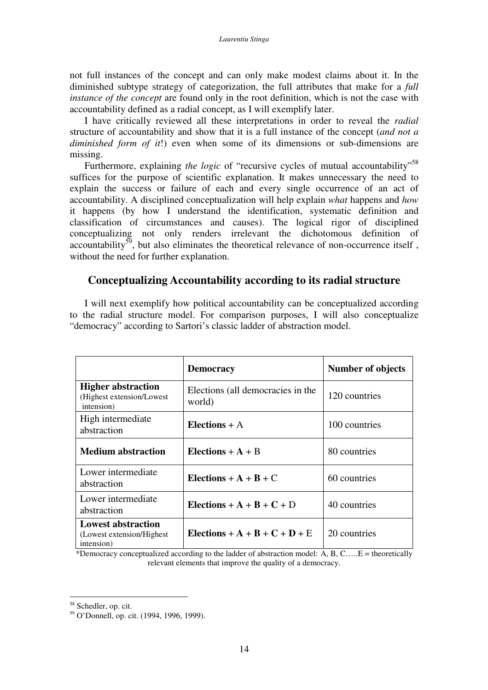not full instances of the concept and can only make modest claims about it. In the diminished subtype strategy of categorization, the full attributes that make for a *full instance of the concept* are found only in the root definition, which is not the case with accountability defined as a radial concept, as I will exemplify later.

I have critically reviewed all these interpretations in order to reveal the *radial* structure of accountability and show that it is a full instance of the concept (*and not a diminished form of it*!) even when some of its dimensions or sub-dimensions are missing.

Furthermore, explaining the logic of "recursive cycles of mutual accountability"<sup>58</sup> suffices for the purpose of scientific explanation. It makes unnecessary the need to explain the success or failure of each and every single occurrence of an act of accountability. A disciplined conceptualization will help explain *what* happens and *how* it happens (by how I understand the identification, systematic definition and classification of circumstances and causes). The logical rigor of disciplined conceptualizing not only renders irrelevant the dichotomous definition of accountability<sup>59</sup>, but also eliminates the theoretical relevance of non-occurrence itself, without the need for further explanation.

## **Conceptualizing Accountability according to its radial structure**

I will next exemplify how political accountability can be conceptualized according to the radial structure model. For comparison purposes, I will also conceptualize "democracy" according to Sartori's classic ladder of abstraction model.

|                                                                       | <b>Democracy</b>                            | <b>Number of objects</b> |  |  |
|-----------------------------------------------------------------------|---------------------------------------------|--------------------------|--|--|
| <b>Higher abstraction</b><br>(Highest extension/Lowest<br>intension)  | Elections (all democracies in the<br>world) | 120 countries            |  |  |
| High intermediate<br>abstraction                                      | Elections $+$ A                             | 100 countries            |  |  |
| <b>Medium abstraction</b>                                             | Elections $+A + B$                          | 80 countries             |  |  |
| Lower intermediate<br>abstraction                                     | Elections + $A + B + C$                     | 60 countries             |  |  |
| Lower intermediate<br>abstraction                                     | Elections + $A + B + C + D$                 | 40 countries             |  |  |
| <b>Lowest abstraction</b><br>(Lowest extension/Highest)<br>intension) | Elections + A + B + C + D + E               | 20 countries             |  |  |

\*Democracy conceptualized according to the ladder of abstraction model: A, B, C…..E = theoretically relevant elements that improve the quality of a democracy.

<sup>58</sup> Schedler, op. cit.

<sup>59</sup> O'Donnell, op. cit. (1994, 1996, 1999).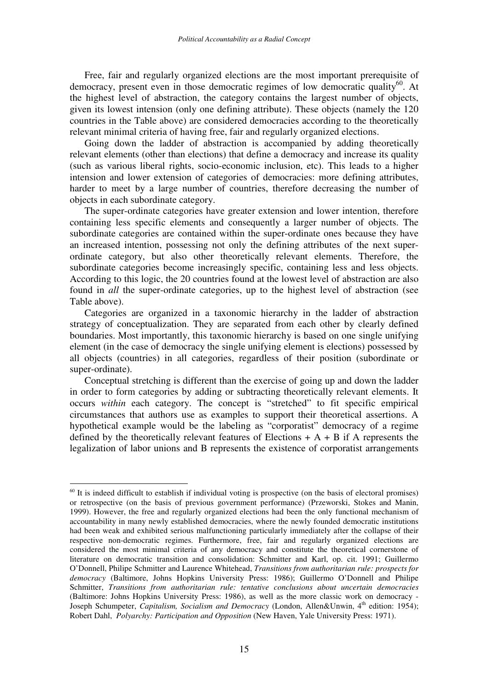Free, fair and regularly organized elections are the most important prerequisite of democracy, present even in those democratic regimes of low democratic quality<sup>60</sup>. At the highest level of abstraction, the category contains the largest number of objects, given its lowest intension (only one defining attribute). These objects (namely the 120 countries in the Table above) are considered democracies according to the theoretically relevant minimal criteria of having free, fair and regularly organized elections.

Going down the ladder of abstraction is accompanied by adding theoretically relevant elements (other than elections) that define a democracy and increase its quality (such as various liberal rights, socio-economic inclusion, etc). This leads to a higher intension and lower extension of categories of democracies: more defining attributes, harder to meet by a large number of countries, therefore decreasing the number of objects in each subordinate category.

The super-ordinate categories have greater extension and lower intention, therefore containing less specific elements and consequently a larger number of objects. The subordinate categories are contained within the super-ordinate ones because they have an increased intention, possessing not only the defining attributes of the next superordinate category, but also other theoretically relevant elements. Therefore, the subordinate categories become increasingly specific, containing less and less objects. According to this logic, the 20 countries found at the lowest level of abstraction are also found in *all* the super-ordinate categories, up to the highest level of abstraction (see Table above).

Categories are organized in a taxonomic hierarchy in the ladder of abstraction strategy of conceptualization. They are separated from each other by clearly defined boundaries. Most importantly, this taxonomic hierarchy is based on one single unifying element (in the case of democracy the single unifying element is elections) possessed by all objects (countries) in all categories, regardless of their position (subordinate or super-ordinate).

Conceptual stretching is different than the exercise of going up and down the ladder in order to form categories by adding or subtracting theoretically relevant elements. It occurs *within* each category. The concept is "stretched" to fit specific empirical circumstances that authors use as examples to support their theoretical assertions. A hypothetical example would be the labeling as "corporatist" democracy of a regime defined by the theoretically relevant features of Elections  $+ A + B$  if A represents the legalization of labor unions and B represents the existence of corporatist arrangements

 $60$  It is indeed difficult to establish if individual voting is prospective (on the basis of electoral promises) or retrospective (on the basis of previous government performance) (Przeworski, Stokes and Manin, 1999). However, the free and regularly organized elections had been the only functional mechanism of accountability in many newly established democracies, where the newly founded democratic institutions had been weak and exhibited serious malfunctioning particularly immediately after the collapse of their respective non-democratic regimes. Furthermore, free, fair and regularly organized elections are considered the most minimal criteria of any democracy and constitute the theoretical cornerstone of literature on democratic transition and consolidation: Schmitter and Karl, op. cit. 1991; Guillermo O'Donnell, Philipe Schmitter and Laurence Whitehead, *Transitions from authoritarian rule: prospects for democracy* (Baltimore, Johns Hopkins University Press: 1986); Guillermo O'Donnell and Philipe Schmitter, *Transitions from authoritarian rule: tentative conclusions about uncertain democracies* (Baltimore: Johns Hopkins University Press: 1986), as well as the more classic work on democracy - Joseph Schumpeter, *Capitalism, Socialism and Democracy* (London, Allen&Unwin, 4<sup>th</sup> edition: 1954); Robert Dahl, *Polyarchy: Participation and Opposition* (New Haven, Yale University Press: 1971).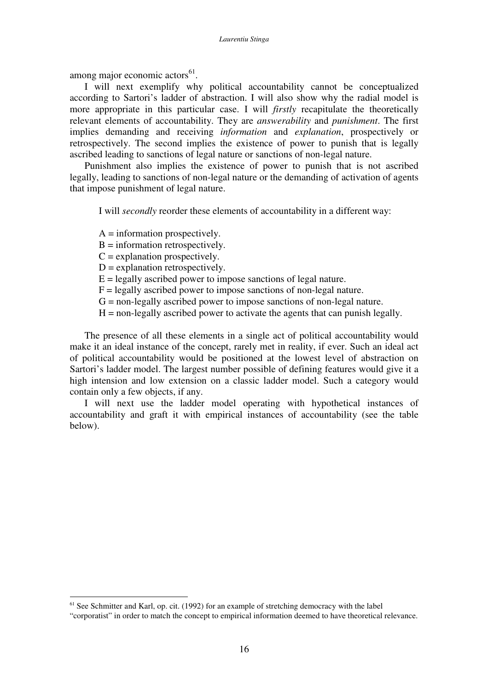among major economic actors<sup>61</sup>.

I will next exemplify why political accountability cannot be conceptualized according to Sartori's ladder of abstraction. I will also show why the radial model is more appropriate in this particular case. I will *firstly* recapitulate the theoretically relevant elements of accountability. They are *answerability* and *punishment*. The first implies demanding and receiving *information* and *explanation*, prospectively or retrospectively. The second implies the existence of power to punish that is legally ascribed leading to sanctions of legal nature or sanctions of non-legal nature.

Punishment also implies the existence of power to punish that is not ascribed legally, leading to sanctions of non-legal nature or the demanding of activation of agents that impose punishment of legal nature.

I will *secondly* reorder these elements of accountability in a different way:

 $A =$  information prospectively.

 $B =$  information retrospectively.

 $C =$  explanation prospectively.

 $D =$  explanation retrospectively.

 $E =$  legally ascribed power to impose sanctions of legal nature.

 $F =$  legally ascribed power to impose sanctions of non-legal nature.

 $G =$  non-legally ascribed power to impose sanctions of non-legal nature.

 $H =$  non-legally ascribed power to activate the agents that can punish legally.

The presence of all these elements in a single act of political accountability would make it an ideal instance of the concept, rarely met in reality, if ever. Such an ideal act of political accountability would be positioned at the lowest level of abstraction on Sartori's ladder model. The largest number possible of defining features would give it a high intension and low extension on a classic ladder model. Such a category would contain only a few objects, if any.

I will next use the ladder model operating with hypothetical instances of accountability and graft it with empirical instances of accountability (see the table below).

 $<sup>61</sup>$  See Schmitter and Karl, op. cit. (1992) for an example of stretching democracy with the label</sup>

<sup>&</sup>quot;corporatist" in order to match the concept to empirical information deemed to have theoretical relevance.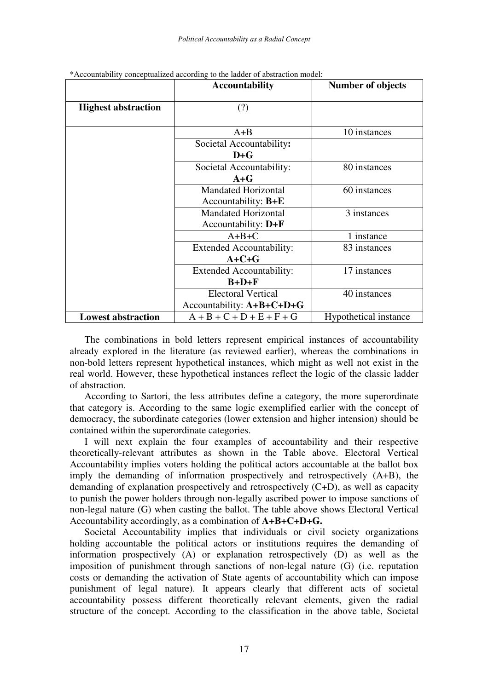|                            | <b>Accountability</b>           | <b>Number of objects</b> |  |  |  |
|----------------------------|---------------------------------|--------------------------|--|--|--|
| <b>Highest abstraction</b> | (?)                             |                          |  |  |  |
|                            | $A + B$                         | 10 instances             |  |  |  |
|                            | Societal Accountability:        |                          |  |  |  |
|                            | $D + G$                         |                          |  |  |  |
|                            | Societal Accountability:        | 80 instances             |  |  |  |
|                            | $A + G$                         |                          |  |  |  |
|                            | <b>Mandated Horizontal</b>      | 60 instances             |  |  |  |
|                            | Accountability: $B + E$         |                          |  |  |  |
|                            | <b>Mandated Horizontal</b>      | 3 instances              |  |  |  |
|                            | Accountability: $D + F$         |                          |  |  |  |
|                            | $A+B+C$                         | 1 instance               |  |  |  |
|                            | <b>Extended Accountability:</b> | 83 instances             |  |  |  |
|                            | $A+C+G$                         |                          |  |  |  |
|                            | <b>Extended Accountability:</b> | 17 instances             |  |  |  |
|                            | $B+D+F$                         |                          |  |  |  |
|                            | <b>Electoral Vertical</b>       | 40 instances             |  |  |  |
|                            | Accountability: $A+B+C+D+G$     |                          |  |  |  |
| <b>Lowest abstraction</b>  | $A + B + C + D + E + F + G$     | Hypothetical instance    |  |  |  |

\*Accountability conceptualized according to the ladder of abstraction model:

The combinations in bold letters represent empirical instances of accountability already explored in the literature (as reviewed earlier), whereas the combinations in non-bold letters represent hypothetical instances, which might as well not exist in the real world. However, these hypothetical instances reflect the logic of the classic ladder of abstraction.

According to Sartori, the less attributes define a category, the more superordinate that category is. According to the same logic exemplified earlier with the concept of democracy, the subordinate categories (lower extension and higher intension) should be contained within the superordinate categories.

I will next explain the four examples of accountability and their respective theoretically-relevant attributes as shown in the Table above. Electoral Vertical Accountability implies voters holding the political actors accountable at the ballot box imply the demanding of information prospectively and retrospectively (A+B), the demanding of explanation prospectively and retrospectively (C+D), as well as capacity to punish the power holders through non-legally ascribed power to impose sanctions of non-legal nature (G) when casting the ballot. The table above shows Electoral Vertical Accountability accordingly, as a combination of **A+B+C+D+G.**

Societal Accountability implies that individuals or civil society organizations holding accountable the political actors or institutions requires the demanding of information prospectively (A) or explanation retrospectively (D) as well as the imposition of punishment through sanctions of non-legal nature (G) (i.e. reputation costs or demanding the activation of State agents of accountability which can impose punishment of legal nature). It appears clearly that different acts of societal accountability possess different theoretically relevant elements, given the radial structure of the concept. According to the classification in the above table, Societal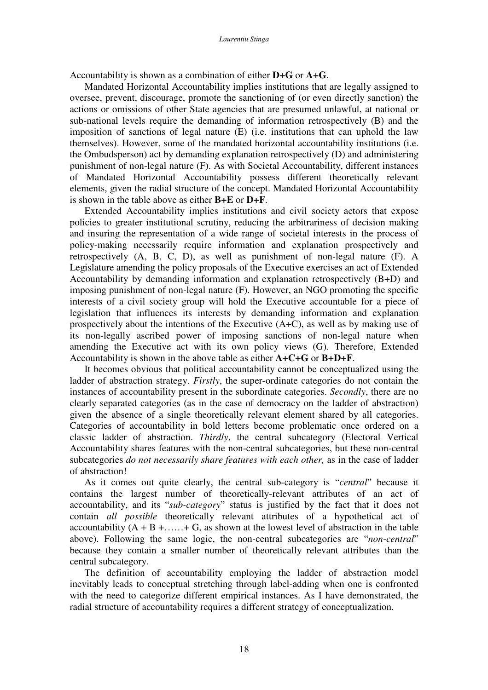Accountability is shown as a combination of either **D+G** or **A+G**.

Mandated Horizontal Accountability implies institutions that are legally assigned to oversee, prevent, discourage, promote the sanctioning of (or even directly sanction) the actions or omissions of other State agencies that are presumed unlawful, at national or sub-national levels require the demanding of information retrospectively (B) and the imposition of sanctions of legal nature (E) (i.e. institutions that can uphold the law themselves). However, some of the mandated horizontal accountability institutions (i.e. the Ombudsperson) act by demanding explanation retrospectively (D) and administering punishment of non-legal nature (F). As with Societal Accountability, different instances of Mandated Horizontal Accountability possess different theoretically relevant elements, given the radial structure of the concept. Mandated Horizontal Accountability is shown in the table above as either **B+E** or **D+F**.

Extended Accountability implies institutions and civil society actors that expose policies to greater institutional scrutiny, reducing the arbitrariness of decision making and insuring the representation of a wide range of societal interests in the process of policy-making necessarily require information and explanation prospectively and retrospectively (A, B, C, D), as well as punishment of non-legal nature (F). A Legislature amending the policy proposals of the Executive exercises an act of Extended Accountability by demanding information and explanation retrospectively (B+D) and imposing punishment of non-legal nature (F). However, an NGO promoting the specific interests of a civil society group will hold the Executive accountable for a piece of legislation that influences its interests by demanding information and explanation prospectively about the intentions of the Executive (A+C), as well as by making use of its non-legally ascribed power of imposing sanctions of non-legal nature when amending the Executive act with its own policy views (G). Therefore, Extended Accountability is shown in the above table as either **A+C+G** or **B+D+F**.

It becomes obvious that political accountability cannot be conceptualized using the ladder of abstraction strategy. *Firstly*, the super-ordinate categories do not contain the instances of accountability present in the subordinate categories. *Secondly*, there are no clearly separated categories (as in the case of democracy on the ladder of abstraction) given the absence of a single theoretically relevant element shared by all categories. Categories of accountability in bold letters become problematic once ordered on a classic ladder of abstraction. *Thirdly*, the central subcategory (Electoral Vertical Accountability shares features with the non-central subcategories, but these non-central subcategories *do not necessarily share features with each other,* as in the case of ladder of abstraction!

As it comes out quite clearly, the central sub-category is "*central*" because it contains the largest number of theoretically-relevant attributes of an act of accountability, and its "*sub-category*" status is justified by the fact that it does not contain *all possible* theoretically relevant attributes of a hypothetical act of accountability  $(A + B + \ldots + G)$ , as shown at the lowest level of abstraction in the table above). Following the same logic, the non-central subcategories are "*non-central*" because they contain a smaller number of theoretically relevant attributes than the central subcategory.

The definition of accountability employing the ladder of abstraction model inevitably leads to conceptual stretching through label-adding when one is confronted with the need to categorize different empirical instances. As I have demonstrated, the radial structure of accountability requires a different strategy of conceptualization.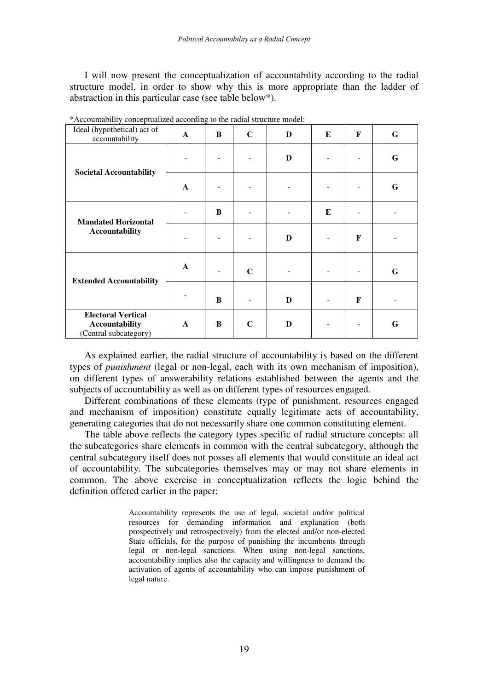I will now present the conceptualization of accountability according to the radial structure model, in order to show why this is more appropriate than the ladder of abstraction in this particular case (see table below\*).

| Ideal (hypothetical) act of<br>accountability                               | $\mathbf{A}$ | B | $\mathbf C$ | D | E | F | G |
|-----------------------------------------------------------------------------|--------------|---|-------------|---|---|---|---|
| <b>Societal Accountability</b>                                              |              |   |             | D |   |   | G |
|                                                                             | $\mathbf{A}$ |   |             |   |   |   | G |
| <b>Mandated Horizontal</b><br><b>Accountability</b>                         |              | B |             |   | E |   |   |
|                                                                             |              |   |             | D |   | F |   |
| <b>Extended Accountability</b>                                              | $\mathbf{A}$ |   | $\mathbf C$ |   |   |   | G |
|                                                                             |              | B |             | D |   | F |   |
| <b>Electoral Vertical</b><br><b>Accountability</b><br>(Central subcategory) | $\mathbf{A}$ | B | $\mathbf C$ | D |   |   | G |

\*Accountability conceptualized according to the radial structure model:

As explained earlier, the radial structure of accountability is based on the different types of *punishment* (legal or non-legal, each with its own mechanism of imposition), on different types of answerability relations established between the agents and the subjects of accountability as well as on different types of resources engaged.

Different combinations of these elements (type of punishment, resources engaged and mechanism of imposition) constitute equally legitimate acts of accountability, generating categories that do not necessarily share one common constituting element.

The table above reflects the category types specific of radial structure concepts: all the subcategories share elements in common with the central subcategory, although the central subcategory itself does not posses all elements that would constitute an ideal act of accountability. The subcategories themselves may or may not share elements in common. The above exercise in conceptualization reflects the logic behind the definition offered earlier in the paper:

> Accountability represents the use of legal, societal and/or political resources for demanding information and explanation (both prospectively and retrospectively) from the elected and/or non-elected State officials, for the purpose of punishing the incumbents through legal or non-legal sanctions. When using non-legal sanctions, accountability implies also the capacity and willingness to demand the activation of agents of accountability who can impose punishment of legal nature.